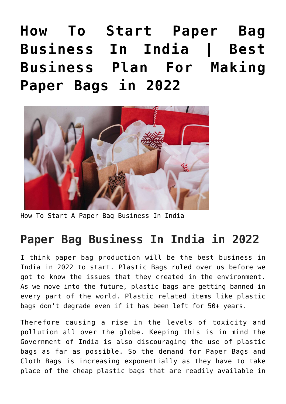**[How To Start Paper Bag](https://inbusinessideas.com/how-to-start-a-paper-bag-business-in-india/) [Business In India | Best](https://inbusinessideas.com/how-to-start-a-paper-bag-business-in-india/) [Business Plan For Making](https://inbusinessideas.com/how-to-start-a-paper-bag-business-in-india/) [Paper Bags in 2022](https://inbusinessideas.com/how-to-start-a-paper-bag-business-in-india/)**



How To Start A Paper Bag Business In India

#### **Paper Bag Business In India in 2022**

I think paper bag production will be the best business in India in 2022 to start. Plastic Bags ruled over us before we got to know the issues that they created in the environment. As we move into the future, plastic bags are getting banned in every part of the world. Plastic related items like plastic bags don't degrade even if it has been left for 50+ years.

Therefore causing a rise in the levels of toxicity and pollution all over the globe. Keeping this is in mind the Government of India is also discouraging the use of plastic bags as far as possible. So the demand for Paper Bags and Cloth Bags is increasing exponentially as they have to take place of the cheap plastic bags that are readily available in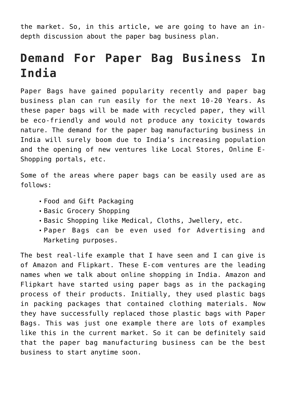the market. So, in this article, we are going to have an indepth discussion about the paper bag business plan.

### **Demand For Paper Bag Business In India**

Paper Bags have gained popularity recently and paper bag business plan can run easily for the next 10-20 Years. As these paper bags will be made with recycled paper, they will be eco-friendly and would not produce any toxicity towards nature. The demand for the paper bag manufacturing business in India will surely boom due to India's increasing population and the opening of new ventures like Local Stores, Online E-Shopping portals, etc.

Some of the areas where paper bags can be easily used are as follows:

- Food and Gift Packaging
- Basic Grocery Shopping
- Basic Shopping like Medical, Cloths, Jwellery, etc.
- Paper Bags can be even used for Advertising and Marketing purposes.

The best real-life example that I have seen and I can give is of Amazon and Flipkart. These E-com ventures are the leading names when we talk about online shopping in India. Amazon and Flipkart have started using paper bags as in the packaging process of their products. Initially, they used plastic bags in packing packages that contained clothing materials. Now they have successfully replaced those plastic bags with Paper Bags. This was just one example there are lots of examples like this in the current market. So it can be definitely said that the paper bag manufacturing business can be the best business to start anytime soon.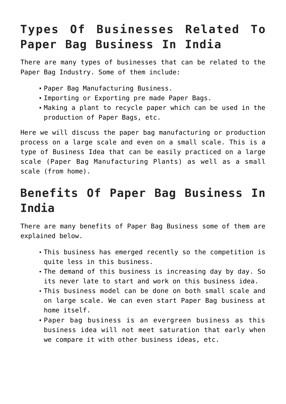# **Types Of Businesses Related To Paper Bag Business In India**

There are many types of businesses that can be related to the Paper Bag Industry. Some of them include:

- Paper Bag Manufacturing Business.
- Importing or Exporting pre made Paper Bags.
- Making a plant to recycle paper which can be used in the production of Paper Bags, etc.

Here we will discuss the paper bag manufacturing or production process on a large scale and even on a small scale. This is a type of Business Idea that can be easily practiced on a large scale (Paper Bag Manufacturing Plants) as well as a small scale (from home).

## **Benefits Of Paper Bag Business In India**

There are many benefits of Paper Bag Business some of them are explained below.

- This business has emerged recently so the competition is quite less in this business.
- The demand of this business is increasing day by day. So its never late to start and work on this business idea.
- This business model can be done on both small scale and on large scale. We can even start Paper Bag business at home itself.
- Paper bag business is an evergreen business as this business idea will not meet saturation that early when we compare it with other business ideas, etc.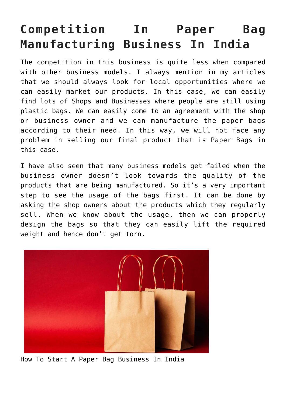# **Competition In Paper Bag Manufacturing Business In India**

The competition in this business is quite less when compared with other business models. I always mention in my articles that we should always look for local opportunities where we can easily market our products. In this case, we can easily find lots of Shops and Businesses where people are still using plastic bags. We can easily come to an agreement with the shop or business owner and we can manufacture the paper bags according to their need. In this way, we will not face any problem in selling our final product that is Paper Bags in this case.

I have also seen that many business models get failed when the business owner doesn't look towards the quality of the products that are being manufactured. So it's a very important step to see the usage of the bags first. It can be done by asking the shop owners about the products which they regularly sell. When we know about the usage, then we can properly design the bags so that they can easily lift the required weight and hence don't get torn.



How To Start A Paper Bag Business In India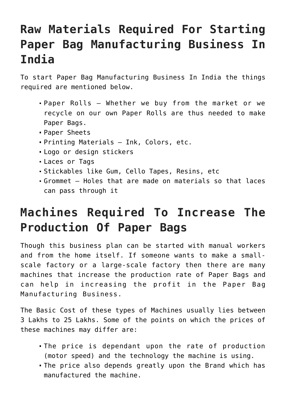# **Raw Materials Required For Starting Paper Bag Manufacturing Business In India**

To start Paper Bag Manufacturing Business In India the things required are mentioned below.

- Paper Rolls Whether we buy from the market or we recycle on our own Paper Rolls are thus needed to make Paper Bags.
- Paper Sheets
- Printing Materials Ink, Colors, etc.
- Logo or design stickers
- Laces or Tags
- Stickables like Gum, Cello Tapes, Resins, etc
- Grommet Holes that are made on materials so that laces can pass through it

### **Machines Required To Increase The Production Of Paper Bags**

Though this business plan can be started with manual workers and from the home itself. If someone wants to make a smallscale factory or a large-scale factory then there are many machines that increase the production rate of Paper Bags and can help in increasing the profit in the Paper Bag Manufacturing Business.

The Basic Cost of these types of Machines usually lies between 3 Lakhs to 25 Lakhs. Some of the points on which the prices of these machines may differ are:

- The price is dependant upon the rate of production (motor speed) and the technology the machine is using.
- The price also depends greatly upon the Brand which has manufactured the machine.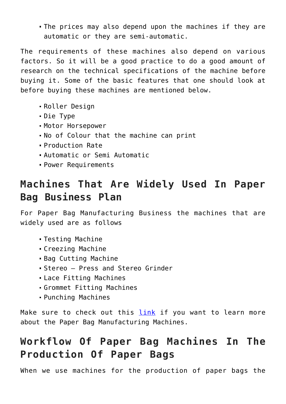The prices may also depend upon the machines if they are automatic or they are semi-automatic.

The requirements of these machines also depend on various factors. So it will be a good practice to do a good amount of research on the technical specifications of the machine before buying it. Some of the basic features that one should look at before buying these machines are mentioned below.

- Roller Design
- Die Type
- Motor Horsepower
- No of Colour that the machine can print
- Production Rate
- Automatic or Semi Automatic
- Power Requirements

#### **Machines That Are Widely Used In Paper Bag Business Plan**

For Paper Bag Manufacturing Business the machines that are widely used are as follows

- Testing Machine
- Creezing Machine
- Bag Cutting Machine
- Stereo Press and Stereo Grinder
- Lace Fitting Machines
- Grommet Fitting Machines
- Punching Machines

Make sure to check out this [link](https://www.bharathmachines.in/paper-bag-making-machine.html) if you want to learn more about the Paper Bag Manufacturing Machines.

#### **Workflow Of Paper Bag Machines In The Production Of Paper Bags**

When we use machines for the production of paper bags the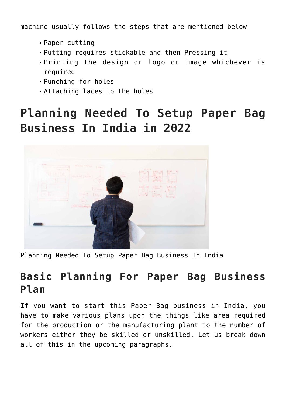machine usually follows the steps that are mentioned below

- Paper cutting
- Putting requires stickable and then Pressing it
- Printing the design or logo or image whichever is required
- Punching for holes
- Attaching laces to the holes

# **Planning Needed To Setup Paper Bag Business In India in 2022**



Planning Needed To Setup Paper Bag Business In India

#### **Basic Planning For Paper Bag Business Plan**

If you want to start this Paper Bag business in India, you have to make various plans upon the things like area required for the production or the manufacturing plant to the number of workers either they be skilled or unskilled. Let us break down all of this in the upcoming paragraphs.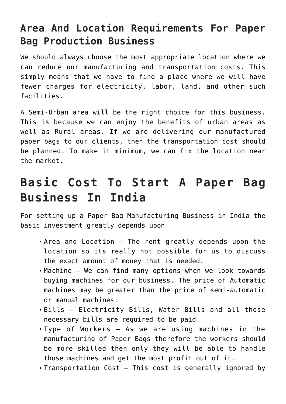#### **Area And Location Requirements For Paper Bag Production Business**

We should always choose the most appropriate location where we can reduce our manufacturing and transportation costs. This simply means that we have to find a place where we will have fewer charges for electricity, labor, land, and other such facilities.

A Semi-Urban area will be the right choice for this business. This is because we can enjoy the benefits of urban areas as well as Rural areas. If we are delivering our manufactured paper bags to our clients, then the transportation cost should be planned. To make it minimum, we can fix the location near the market.

### **Basic Cost To Start A Paper Bag Business In India**

For setting up a Paper Bag Manufacturing Business in India the basic investment greatly depends upon

- Area and Location The rent greatly depends upon the location so its really not possible for us to discuss the exact amount of money that is needed.
- Machine We can find many options when we look towards buying machines for our business. The price of Automatic machines may be greater than the price of semi-automatic or manual machines.
- Bills Electricity Bills, Water Bills and all those necessary bills are required to be paid.
- Type of Workers As we are using machines in the manufacturing of Paper Bags therefore the workers should be more skilled then only they will be able to handle those machines and get the most profit out of it.
- Transportation Cost This cost is generally ignored by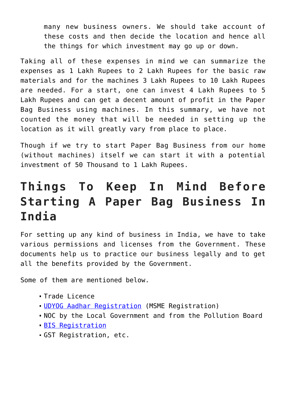many new business owners. We should take account of these costs and then decide the location and hence all the things for which investment may go up or down.

Taking all of these expenses in mind we can summarize the expenses as 1 Lakh Rupees to 2 Lakh Rupees for the basic raw materials and for the machines 3 Lakh Rupees to 10 Lakh Rupees are needed. For a start, one can invest 4 Lakh Rupees to 5 Lakh Rupees and can get a decent amount of profit in the Paper Bag Business using machines. In this summary, we have not counted the money that will be needed in setting up the location as it will greatly vary from place to place.

Though if we try to start Paper Bag Business from our home (without machines) itself we can start it with a potential investment of 50 Thousand to 1 Lakh Rupees.

## **Things To Keep In Mind Before Starting A Paper Bag Business In India**

For setting up any kind of business in India, we have to take various permissions and licenses from the Government. These documents help us to practice our business legally and to get all the benefits provided by the Government.

Some of them are mentioned below.

- Trade Licence
- **[UDYOG Aadhar Registration](https://udyamregistration.gov.in/Government-India/Ministry-MSME-registration.htm) (MSME Registration)**
- NOC by the Local Government and from the Pollution Board
- [BIS Registration](https://www.bis.gov.in/index.php/product-certification/product-certificatin-apply-online/)
- GST Registration, etc.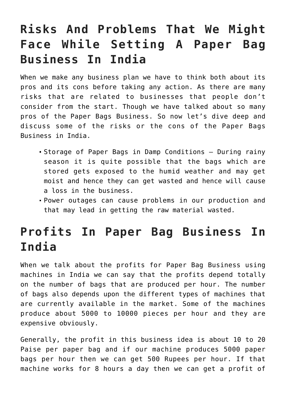## **Risks And Problems That We Might Face While Setting A Paper Bag Business In India**

When we make any business plan we have to think both about its pros and its cons before taking any action. As there are many risks that are related to businesses that people don't consider from the start. Though we have talked about so many pros of the Paper Bags Business. So now let's dive deep and discuss some of the risks or the cons of the Paper Bags Business in India.

- Storage of Paper Bags in Damp Conditions During rainy season it is quite possible that the bags which are stored gets exposed to the humid weather and may get moist and hence they can get wasted and hence will cause a loss in the business.
- Power outages can cause problems in our production and that may lead in getting the raw material wasted.

### **Profits In Paper Bag Business In India**

When we talk about the profits for Paper Bag Business using machines in India we can say that the profits depend totally on the number of bags that are produced per hour. The number of bags also depends upon the different types of machines that are currently available in the market. Some of the machines produce about 5000 to 10000 pieces per hour and they are expensive obviously.

Generally, the profit in this business idea is about 10 to 20 Paise per paper bag and if our machine produces 5000 paper bags per hour then we can get 500 Rupees per hour. If that machine works for 8 hours a day then we can get a profit of